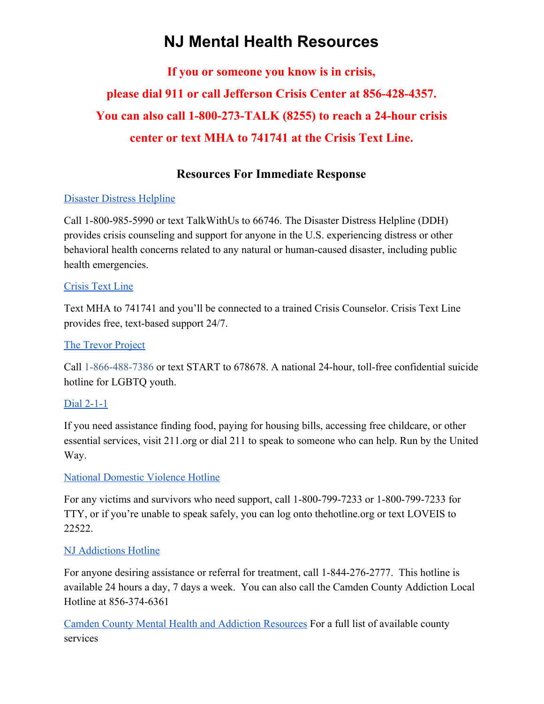# **NJ Mental Health Resources**

**If you or someone you know is in crisis, please dial 911 or call Jefferson Crisis Center at 856-428-4357. You can also call 1-800-273-TALK (8255) to reach a 24-hour crisis center or text MHA to 741741 at the Crisis Text Line.**

### **Resources For Immediate Response**

#### [Disaster Distress Helpline](https://www.samhsa.gov/find-help/disaster-distress-helpline)

Call 1-800-985-5990 or text TalkWithUs to 66746. The Disaster Distress Helpline (DDH) provides crisis counseling and support for anyone in the U.S. experiencing distress or other behavioral health concerns related to any natural or human-caused disaster, including public health emergencies.

#### [Crisis Text Line](https://www.crisistextline.org/)

Text MHA to 741741 and you'll be connected to a trained Crisis Counselor. Crisis Text Line provides free, text-based support 24/7.

#### [The Trevor Project](https://www.thetrevorproject.org/)

Call 1-866-488-7386 or text START to 678678. A national 24-hour, toll-free confidential suicide hotline for LGBTQ youth.

#### [Dial 2-1-1](http://211.org/services/covid19)

If you need assistance finding food, paying for housing bills, accessing free childcare, or other essential services, visit 211.org or dial 211 to speak to someone who can help. Run by the United Way.

#### [National Domestic Violence Hotline](https://www.thehotline.org/2020/03/13/staying-safe-during-covid-19/)

For any victims and survivors who need support, call 1-800-799-7233 or 1-800-799-7233 for TTY, or if you're unable to speak safely, you can log onto thehotline.org or text LOVEIS to 22522.

#### [NJ Addictions Hotline](https://www.nj.gov/humanservices/dmhas/initiatives/managed/IME_Hotline_Flyyer.pdf)

For anyone desiring assistance or referral for treatment, call 1-844-276-2777. This hotline is available 24 hours a day, 7 days a week. You can also call the Camden County Addiction Local Hotline at 856-374-6361

[Camden County Mental Health and Addiction Resources](https://www.camdencounty.com/service/mental-health-and-addiction/addiction-resources/) For a full list of available county services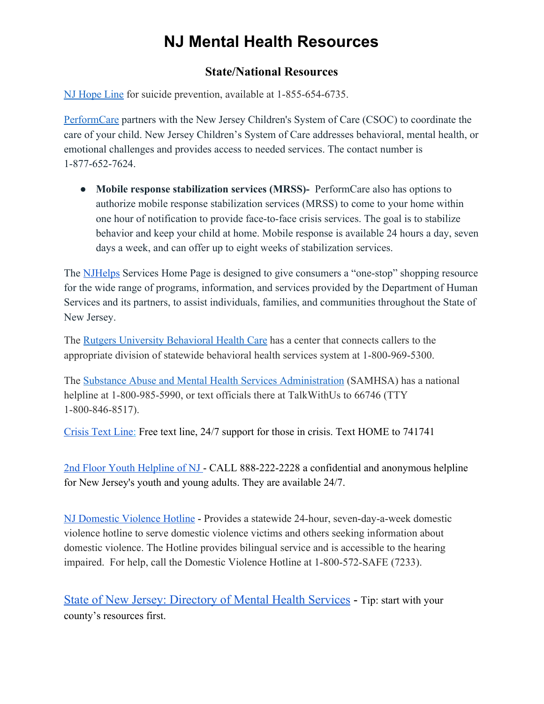# **NJ Mental Health Resources**

### **State/National Resources**

[NJ Hope Line](https://njhopeline.com/) for suicide prevention, available at 1-855-654-6735.

PerformCare partners with the New Jersey Children's System of Care (CSOC) to coordinate the care of your child. New Jersey Children's System of Care addresses behavioral, mental health, or emotional challenges and provides access to needed services. The contact number is 1-877-652-7624.

● **Mobile response stabilization services (MRSS)-** PerformCare also has options to authorize mobile response stabilization services (MRSS) to come to your home within one hour of notification to provide face-to-face crisis services. The goal is to stabilize behavior and keep your child at home. Mobile response is available 24 hours a day, seven days a week, and can offer up to eight weeks of stabilization services.

The **NJHelps** Services Home Page is designed to give consumers a "one-stop" shopping resource for the wide range of programs, information, and services provided by the Department of Human Services and its partners, to assist individuals, families, and communities throughout the State of New Jersey.

The [Rutgers University Behavioral Health Care](https://ubhc.rutgers.edu/clinical/call-center/overview.xml) has a center that connects callers to the appropriate division of statewide behavioral health services system at 1-800-969-5300.

The [Substance Abuse and Mental Health Services Administration](https://www.samhsa.gov/find-help/national-helpline) (SAMHSA) has a national helpline at 1-800-985-5990, or text officials there at TalkWithUs to 66746 (TTY 1-800-846-8517).

[Crisis Text Line:](https://www.crisistextline.org/) Free text line, 24/7 support for those in crisis. Text HOME to 741741

[2nd Floor Youth Helpline of NJ -](https://www.2ndfloor.org/more-help/mental-health/) CALL 888-222-2228 a confidential and anonymous helpline for New Jersey's youth and young adults. They are available 24/7.

[NJ Domestic Violence Hotline](https://www.state.nj.us/dca/divisions/dow/programs/sdvh.html) - Provides a statewide 24-hour, seven-day-a-week domestic violence hotline to serve domestic violence victims and others seeking information about domestic violence. The Hotline provides bilingual service and is accessible to the hearing impaired. For help, call the Domestic Violence Hotline at 1-800-572-SAFE (7233).

State of New Jersey: [Directory](https://www.nj.gov/humanservices/dmhas/home/hotlines/MH_Dir_COMPLETE.pdf) of Mental Health Services - Tip: start with your county's resources first.